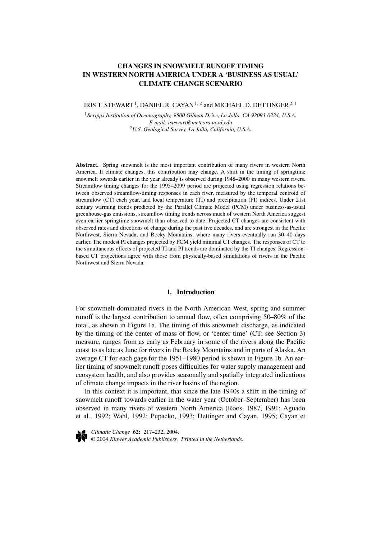# **CHANGES IN SNOWMELT RUNOFF TIMING IN WESTERN NORTH AMERICA UNDER A 'BUSINESS AS USUAL' CLIMATE CHANGE SCENARIO**

IRIS T. STEWART<sup>1</sup>, DANIEL R. CAYAN<sup>1,2</sup> and MICHAEL D. DETTINGER<sup>2, 1</sup>

<sup>1</sup>*Scripps Institution of Oceanography, 9500 Gilman Drive, La Jolla, CA 92093-0224, U.S.A. E-mail: istewart@meteora.ucsd.edu* <sup>2</sup>*U.S. Geological Survey, La Jolla, California, U.S.A.*

**Abstract.** Spring snowmelt is the most important contribution of many rivers in western North America. If climate changes, this contribution may change. A shift in the timing of springtime snowmelt towards earlier in the year already is observed during 1948–2000 in many western rivers. Streamflow timing changes for the 1995–2099 period are projected using regression relations between observed streamflow-timing responses in each river, measured by the temporal centroid of streamflow (CT) each year, and local temperature (TI) and precipitation (PI) indices. Under 21st century warming trends predicted by the Parallel Climate Model (PCM) under business-as-usual greenhouse-gas emissions, streamflow timing trends across much of western North America suggest even earlier springtime snowmelt than observed to date. Projected CT changes are consistent with observed rates and directions of change during the past five decades, and are strongest in the Pacific Northwest, Sierra Nevada, and Rocky Mountains, where many rivers eventually run 30–40 days earlier. The modest PI changes projected by PCM yield minimal CT changes. The responses of CT to the simultaneous effects of projected TI and PI trends are dominated by the TI changes. Regressionbased CT projections agree with those from physically-based simulations of rivers in the Pacific Northwest and Sierra Nevada.

## **1. Introduction**

For snowmelt dominated rivers in the North American West, spring and summer runoff is the largest contribution to annual flow, often comprising 50–80% of the total, as shown in Figure 1a. The timing of this snowmelt discharge, as indicated by the timing of the center of mass of flow, or 'center time' (CT; see Section 3) measure, ranges from as early as February in some of the rivers along the Pacific coast to as late as June for rivers in the Rocky Mountains and in parts of Alaska. An average CT for each gage for the 1951–1980 period is shown in Figure 1b. An earlier timing of snowmelt runoff poses difficulties for water supply management and ecosystem health, and also provides seasonally and spatially integrated indications of climate change impacts in the river basins of the region.

In this context it is important, that since the late 1940s a shift in the timing of snowmelt runoff towards earlier in the water year (October–September) has been observed in many rivers of western North America (Roos, 1987, 1991; Aguado et al., 1992; Wahl, 1992; Pupacko, 1993; Dettinger and Cayan, 1995; Cayan et



*Climatic Change* **62:** 217–232, 2004. © 2004 *Kluwer Academic Publishers. Printed in the Netherlands.*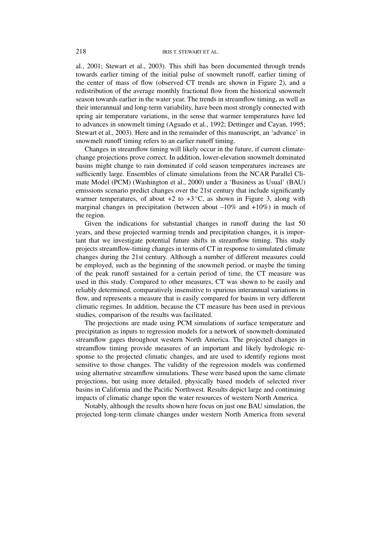al., 2001; Stewart et al., 2003). This shift has been documented through trends towards earlier timing of the initial pulse of snowmelt runoff, earlier timing of the center of mass of flow (observed CT trends are shown in Figure 2), and a redistribution of the average monthly fractional flow from the historical snowmelt season towards earlier in the water year. The trends in streamflow timing, as well as their interannual and long-term variability, have been most strongly connected with spring air temperature variations, in the sense that warmer temperatures have led to advances in snowmelt timing (Aguado et al., 1992; Dettinger and Cayan, 1995; Stewart et al., 2003). Here and in the remainder of this manuscript, an 'advance' in snowmelt runoff timing refers to an earlier runoff timing.

Changes in streamflow timing will likely occur in the future, if current climatechange projections prove correct. In addition, lower-elevation snowmelt dominated basins might change to rain dominated if cold season temperatures increases are sufficiently large. Ensembles of climate simulations from the NCAR Parallel Climate Model (PCM) (Washington et al., 2000) under a 'Business as Usual' (BAU) emissions scenario predict changes over the 21st century that include significantly warmer temperatures, of about  $+2$  to  $+3$ °C, as shown in Figure 3, along with marginal changes in precipitation (between about  $-10\%$  and  $+10\%$ ) in much of the region.

Given the indications for substantial changes in runoff during the last 50 years, and these projected warming trends and precipitation changes, it is important that we investigate potential future shifts in streamflow timing. This study projects streamflow-timing changes in terms of CT in response to simulated climate changes during the 21st century. Although a number of different measures could be employed, such as the beginning of the snowmelt period, or maybe the timing of the peak runoff sustained for a certain period of time, the CT measure was used in this study. Compared to other measures, CT was shown to be easily and reliably determined, comparatively insensitive to spurious interannual variations in flow, and represents a measure that is easily compared for basins in very different climatic regimes. In addition, because the CT measure has been used in previous studies, comparison of the results was facilitated.

The projections are made using PCM simulations of surface temperature and precipitation as inputs to regression models for a network of snowmelt-dominated streamflow gages throughout western North America. The projected changes in streamflow timing provide measures of an important and likely hydrologic response to the projected climatic changes, and are used to identify regions most sensitive to those changes. The validity of the regression models was confirmed using alternative streamflow simulations. These were based upon the same climate projections, but using more detailed, physically based models of selected river basins in California and the Pacific Northwest. Results depict large and continuing impacts of climatic change upon the water resources of western North America.

Notably, although the results shown here focus on just one BAU simulation, the projected long-term climate changes under western North America from several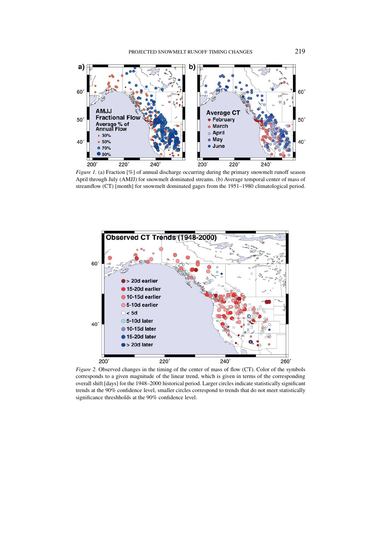

*Figure 1.* (a) Fraction [%] of annual discharge occurring during the primary snowmelt runoff season April through July (AMJJ) for snowmelt dominated streams. (b) Average temporal center of mass of streamflow (CT) [month] for snowmelt dominated gages from the 1951–1980 climatological period.



*Figure 2.* Observed changes in the timing of the center of mass of flow (CT). Color of the symbols corresponds to a given magnitude of the linear trend, which is given in terms of the corresponding overall shift [days] for the 1948–2000 historical period. Larger circles indicate statistically significant trends at the 90% confidence level, smaller circles correspond to trends that do not meet statistically significance threshholds at the 90% confidence level.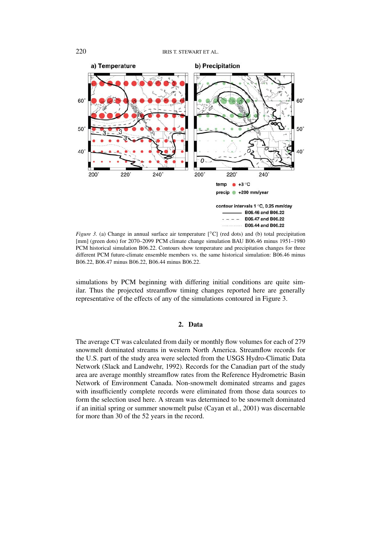

*Figure 3.* (a) Change in annual surface air temperature [°C] (red dots) and (b) total precipitation [mm] (green dots) for 2070–2099 PCM climate change simulation BAU B06.46 minus 1951–1980 PCM historical simulation B06.22. Contours show temperature and precipitation changes for three different PCM future-climate ensemble members vs. the same historical simulation: B06.46 minus B06.22, B06.47 minus B06.22, B06.44 minus B06.22.

simulations by PCM beginning with differing initial conditions are quite similar. Thus the projected streamflow timing changes reported here are generally representative of the effects of any of the simulations contoured in Figure 3.

## **2. Data**

The average CT was calculated from daily or monthly flow volumes for each of 279 snowmelt dominated streams in western North America. Streamflow records for the U.S. part of the study area were selected from the USGS Hydro-Climatic Data Network (Slack and Landwehr, 1992). Records for the Canadian part of the study area are average monthly streamflow rates from the Reference Hydrometric Basin Network of Environment Canada. Non-snowmelt dominated streams and gages with insufficiently complete records were eliminated from those data sources to form the selection used here. A stream was determined to be snowmelt dominated if an initial spring or summer snowmelt pulse (Cayan et al., 2001) was discernable for more than 30 of the 52 years in the record.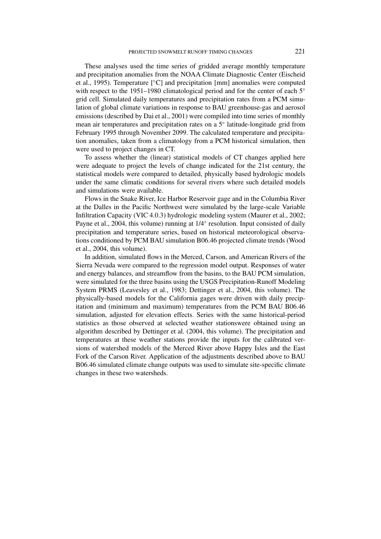These analyses used the time series of gridded average monthly temperature and precipitation anomalies from the NOAA Climate Diagnostic Center (Eischeid et al., 1995). Temperature [◦C] and precipitation [mm] anomalies were computed with respect to the 1951–1980 climatological period and for the center of each 5° grid cell. Simulated daily temperatures and precipitation rates from a PCM simulation of global climate variations in response to BAU greenhouse-gas and aerosol emissions (described by Dai et al., 2001) were compiled into time series of monthly mean air temperatures and precipitation rates on a 5◦ latitude-longitude grid from February 1995 through November 2099. The calculated temperature and precipitation anomalies, taken from a climatology from a PCM historical simulation, then were used to project changes in CT.

To assess whether the (linear) statistical models of CT changes applied here were adequate to project the levels of change indicated for the 21st century, the statistical models were compared to detailed, physically based hydrologic models under the same climatic conditions for several rivers where such detailed models and simulations were available.

Flows in the Snake River, Ice Harbor Reservoir gage and in the Columbia River at the Dalles in the Pacific Northwest were simulated by the large-scale Variable Infiltration Capacity (VIC 4.0.3) hydrologic modeling system (Maurer et al., 2002; Payne et al., 2004, this volume) running at 1/4◦ resolution. Input consisted of daily precipitation and temperature series, based on historical meteorological observations conditioned by PCM BAU simulation B06.46 projected climate trends (Wood et al., 2004, this volume).

In addition, simulated flows in the Merced, Carson, and American Rivers of the Sierra Nevada were compared to the regression model output. Responses of water and energy balances, and streamflow from the basins, to the BAU PCM simulation, were simulated for the three basins using the USGS Precipitation-Runoff Modeling System PRMS (Leavesley et al., 1983; Dettinger et al., 2004, this volume). The physically-based models for the California gages were driven with daily precipitation and (minimum and maximum) temperatures from the PCM BAU B06.46 simulation, adjusted for elevation effects. Series with the same historical-period statistics as those observed at selected weather stationswere obtained using an algorithm described by Dettinger et al. (2004, this volume). The precipitation and temperatures at these weather stations provide the inputs for the calibrated versions of watershed models of the Merced River above Happy Isles and the East Fork of the Carson River. Application of the adjustments described above to BAU B06.46 simulated climate change outputs was used to simulate site-specific climate changes in these two watersheds.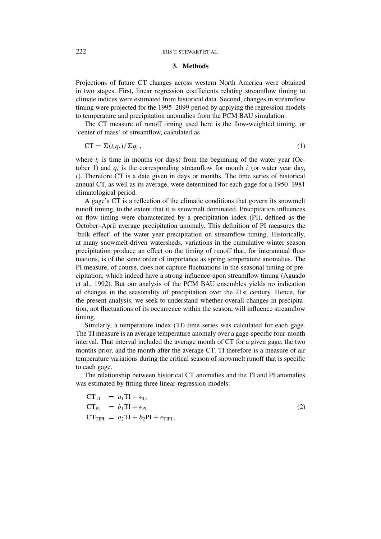### **3. Methods**

Projections of future CT changes across western North America were obtained in two stages. First, linear regression coefficients relating streamflow timing to climate indices were estimated from historical data. Second, changes in streamflow timing were projected for the 1995–2099 period by applying the regression models to temperature and precipitation anomalies from the PCM BAU simulation.

The CT measure of runoff timing used here is the flow-weighted timing, or 'center of mass' of streamflow, calculated as

$$
CT = \sum (t_i q_i) / \sum q_i , \qquad (1)
$$

where  $t_i$  is time in months (or days) from the beginning of the water year (October 1) and  $q_i$  is the corresponding streamflow for month *i* (or water year day, *i*). Therefore CT is a date given in days or months. The time series of historical annual CT, as well as its average, were determined for each gage for a 1950–1981 climatological period.

A gage's CT is a reflection of the climatic conditions that govern its snowmelt runoff timing, to the extent that it is snowmelt dominated. Precipitation influences on flow timing were characterized by a precipitation index (PI), defined as the October–April average precipitation anomaly. This definition of PI measures the 'bulk effect' of the water year precipitation on streamflow timing. Historically, at many snowmelt-driven watersheds, variations in the cumulative winter season precipitation produce an effect on the timing of runoff that, for interannual fluctuations, is of the same order of importance as spring temperature anomalies. The PI measure, of course, does not capture fluctuations in the seasonal timing of precipitation, which indeed have a strong influence upon streamflow timing (Aguado et al., 1992). But our analysis of the PCM BAU ensembles yields no indication of changes in the seasonality of precipitation over the 21st century. Hence, for the present analysis, we seek to understand whether overall changes in precipitation, not fluctuations of its occurrence within the season, will influence streamflow timing.

Similarly, a temperature index (TI) time series was calculated for each gage. The TI measure is an average temperature anomaly over a gage-specific four-month interval. That interval included the average month of CT for a given gage, the two months prior, and the month after the average CT. TI therefore is a measure of air temperature variations during the critical season of snowmelt runoff that is specific to each gage.

The relationship between historical CT anomalies and the TI and PI anomalies was estimated by fitting three linear-regression models:

$$
CT_{TI} = a_1 TI + \epsilon_{TI}
$$
  
\n
$$
CT_{PI} = b_1TI + \epsilon_{PI}
$$
  
\n
$$
CT_{TIPI} = a_2TI + b_2PI + \epsilon_{TIPI}.
$$
\n(2)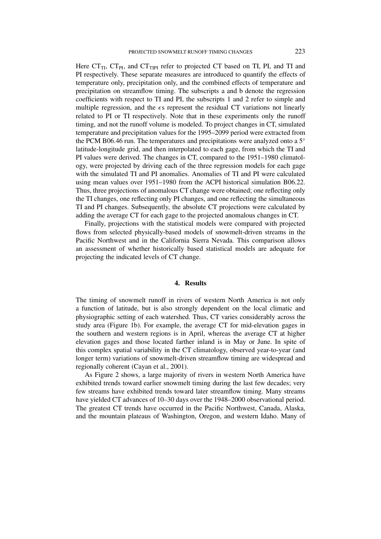Here  $CT_{TI}$ ,  $CT_{PI}$ , and  $CT_{TIPI}$  refer to projected CT based on TI, PI, and TI and PI respectively. These separate measures are introduced to quantify the effects of temperature only, precipitation only, and the combined effects of temperature and precipitation on streamflow timing. The subscripts a and b denote the regression coefficients with respect to TI and PI, the subscripts 1 and 2 refer to simple and multiple regression, and the  $\epsilon s$  represent the residual CT variations not linearly related to PI or TI respectively. Note that in these experiments only the runoff timing, and not the runoff volume is modeled. To project changes in CT, simulated temperature and precipitation values for the 1995–2099 period were extracted from the PCM B06.46 run. The temperatures and precipitations were analyzed onto a 5◦ latitude-longitude grid, and then interpolated to each gage, from which the TI and PI values were derived. The changes in CT, compared to the 1951–1980 climatology, were projected by driving each of the three regression models for each gage with the simulated TI and PI anomalies. Anomalies of TI and PI were calculated using mean values over 1951–1980 from the ACPI historical simulation B06.22. Thus, three projections of anomalous CT change were obtained; one reflecting only the TI changes, one reflecting only PI changes, and one reflecting the simultaneous TI and PI changes. Subsequently, the absolute CT projections were calculated by adding the average CT for each gage to the projected anomalous changes in CT.

Finally, projections with the statistical models were compared with projected flows from selected physically-based models of snowmelt-driven streams in the Pacific Northwest and in the California Sierra Nevada. This comparison allows an assessment of whether historically based statistical models are adequate for projecting the indicated levels of CT change.

#### **4. Results**

The timing of snowmelt runoff in rivers of western North America is not only a function of latitude, but is also strongly dependent on the local climatic and physiographic setting of each watershed. Thus, CT varies considerably across the study area (Figure 1b). For example, the average CT for mid-elevation gages in the southern and western regions is in April, whereas the average CT at higher elevation gages and those located farther inland is in May or June. In spite of this complex spatial variability in the CT climatology, observed year-to-year (and longer term) variations of snowmelt-driven streamflow timing are widespread and regionally coherent (Cayan et al., 2001).

As Figure 2 shows, a large majority of rivers in western North America have exhibited trends toward earlier snowmelt timing during the last few decades; very few streams have exhibited trends toward later streamflow timing. Many streams have yielded CT advances of 10–30 days over the 1948–2000 observational period. The greatest CT trends have occurred in the Pacific Northwest, Canada, Alaska, and the mountain plateaus of Washington, Oregon, and western Idaho. Many of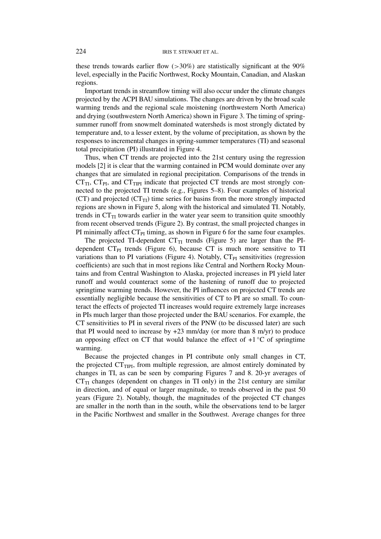these trends towards earlier flow (*>*30%) are statistically significant at the 90% level, especially in the Pacific Northwest, Rocky Mountain, Canadian, and Alaskan regions.

Important trends in streamflow timing will also occur under the climate changes projected by the ACPI BAU simulations. The changes are driven by the broad scale warming trends and the regional scale moistening (northwestern North America) and drying (southwestern North America) shown in Figure 3. The timing of springsummer runoff from snowmelt dominated watersheds is most strongly dictated by temperature and, to a lesser extent, by the volume of precipitation, as shown by the responses to incremental changes in spring-summer temperatures (TI) and seasonal total precipitation (PI) illustrated in Figure 4.

Thus, when CT trends are projected into the 21st century using the regression models [2] it is clear that the warming contained in PCM would dominate over any changes that are simulated in regional precipitation. Comparisons of the trends in  $CT_{TI}$ ,  $CT_{PI}$ , and  $CT_{TIPI}$  indicate that projected CT trends are most strongly connected to the projected TI trends (e.g., Figures 5–8). Four examples of historical (CT) and projected ( $CT_{\text{TI}}$ ) time series for basins from the more strongly impacted regions are shown in Figure 5, along with the historical and simulated TI. Notably, trends in  $CT_{\text{TI}}$  towards earlier in the water year seem to transition quite smoothly from recent observed trends (Figure 2). By contrast, the small projected changes in PI minimally affect  $CT_{PI}$  timing, as shown in Figure 6 for the same four examples.

The projected TI-dependent  $CT_{TI}$  trends (Figure 5) are larger than the PIdependent  $CT_{PI}$  trends (Figure 6), because  $CT$  is much more sensitive to  $TI$ variations than to PI variations (Figure 4). Notably,  $CT_{PI}$  sensitivities (regression coefficients) are such that in most regions like Central and Northern Rocky Mountains and from Central Washington to Alaska, projected increases in PI yield later runoff and would counteract some of the hastening of runoff due to projected springtime warming trends. However, the PI influences on projected CT trends are essentially negligible because the sensitivities of CT to PI are so small. To counteract the effects of projected TI increases would require extremely large increases in PIs much larger than those projected under the BAU scenarios. For example, the CT sensitivities to PI in several rivers of the PNW (to be discussed later) are such that PI would need to increase by  $+23$  mm/day (or more than 8 m/yr) to produce an opposing effect on CT that would balance the effect of  $+1$  °C of springtime warming.

Because the projected changes in PI contribute only small changes in CT, the projected  $CT_{TIPI}$ , from multiple regression, are almost entirely dominated by changes in TI, as can be seen by comparing Figures 7 and 8. 20-yr averages of  $CT_{\text{TI}}$  changes (dependent on changes in TI only) in the 21st century are similar in direction, and of equal or larger magnitude, to trends observed in the past 50 years (Figure 2). Notably, though, the magnitudes of the projected CT changes are smaller in the north than in the south, while the observations tend to be larger in the Pacific Northwest and smaller in the Southwest. Average changes for three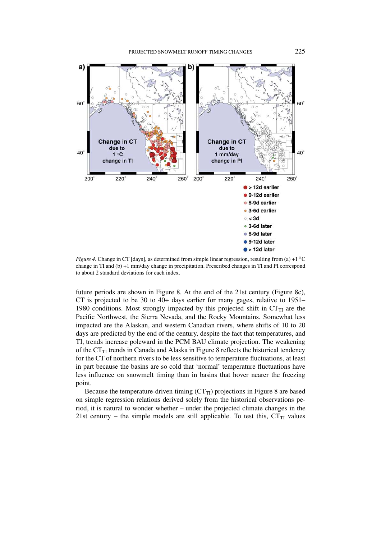

*Figure 4.* Change in CT [days], as determined from simple linear regression, resulting from (a) +1 °C change in TI and (b) +1 mm/day change in precipitation. Prescribed changes in TI and PI correspond to about 2 standard deviations for each index.

future periods are shown in Figure 8. At the end of the 21st century (Figure 8c), CT is projected to be 30 to 40+ days earlier for many gages, relative to 1951– 1980 conditions. Most strongly impacted by this projected shift in  $CT_{TI}$  are the Pacific Northwest, the Sierra Nevada, and the Rocky Mountains. Somewhat less impacted are the Alaskan, and western Canadian rivers, where shifts of 10 to 20 days are predicted by the end of the century, despite the fact that temperatures, and TI, trends increase poleward in the PCM BAU climate projection. The weakening of the  $CT_{TI}$  trends in Canada and Alaska in Figure 8 reflects the historical tendency for the CT of northern rivers to be less sensitive to temperature fluctuations, at least in part because the basins are so cold that 'normal' temperature fluctuations have less influence on snowmelt timing than in basins that hover nearer the freezing point.

Because the temperature-driven timing  $(CT_{TI})$  projections in Figure 8 are based on simple regression relations derived solely from the historical observations period, it is natural to wonder whether – under the projected climate changes in the 21st century – the simple models are still applicable. To test this,  $CT_{TI}$  values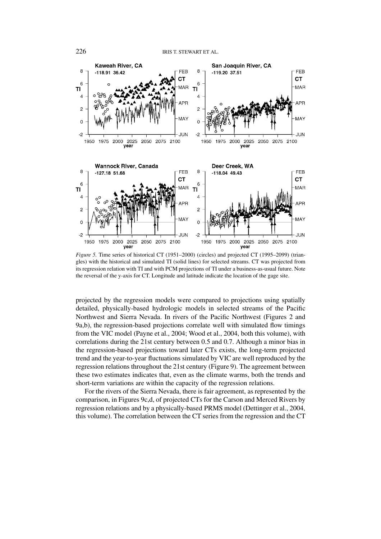

*Figure 5.* Time series of historical CT (1951–2000) (circles) and projected CT (1995–2099) (triangles) with the historical and simulated TI (solid lines) for selected streams. CT was projected from its regression relation with TI and with PCM projections of TI under a business-as-usual future. Note the reversal of the y-axis for CT. Longitude and latitude indicate the location of the gage site.

projected by the regression models were compared to projections using spatially detailed, physically-based hydrologic models in selected streams of the Pacific Northwest and Sierra Nevada. In rivers of the Pacific Northwest (Figures 2 and 9a,b), the regression-based projections correlate well with simulated flow timings from the VIC model (Payne et al., 2004; Wood et al., 2004, both this volume), with correlations during the 21st century between 0.5 and 0.7. Although a minor bias in the regression-based projections toward later CTs exists, the long-term projected trend and the year-to-year fluctuations simulated by VIC are well reproduced by the regression relations throughout the 21st century (Figure 9). The agreement between these two estimates indicates that, even as the climate warms, both the trends and short-term variations are within the capacity of the regression relations.

For the rivers of the Sierra Nevada, there is fair agreement, as represented by the comparison, in Figures 9c,d, of projected CTs for the Carson and Merced Rivers by regression relations and by a physically-based PRMS model (Dettinger et al., 2004, this volume). The correlation between the CT series from the regression and the CT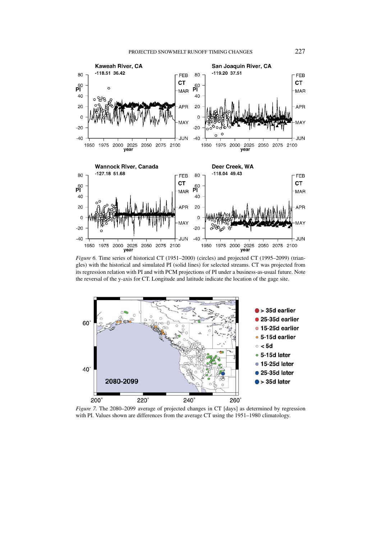

*Figure 6.* Time series of historical CT (1951–2000) (circles) and projected CT (1995–2099) (triangles) with the historical and simulated PI (solid lines) for selected streams. CT was projected from its regression relation with PI and with PCM projections of PI under a business-as-usual future. Note the reversal of the y-axis for CT. Longitude and latitude indicate the location of the gage site.



*Figure 7.* The 2080–2099 average of projected changes in CT [days] as determined by regression with PI. Values shown are differences from the average CT using the 1951–1980 climatology.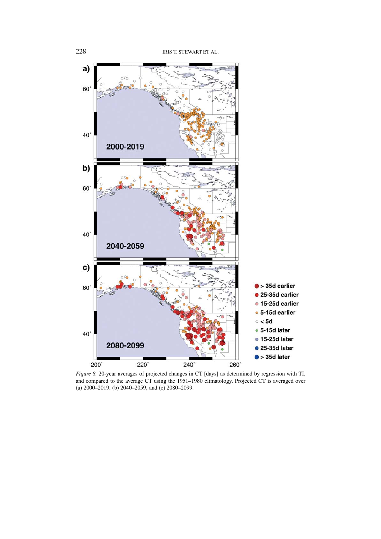

*Figure 8.* 20-year averages of projected changes in CT [days] as determined by regression with TI, and compared to the average CT using the 1951–1980 climatology. Projected CT is averaged over (a) 2000–2019, (b) 2040–2059, and (c) 2080–2099.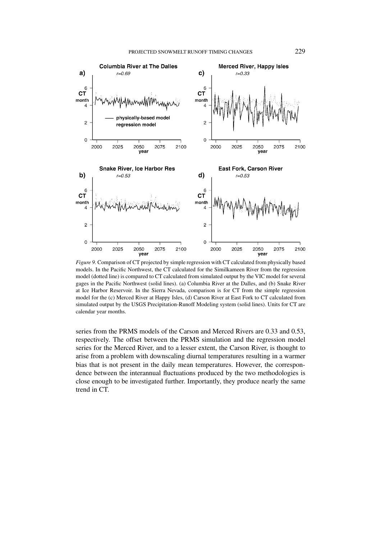

*Figure 9.* Comparison of CT projected by simple regression with CT calculated from physically based models. In the Pacific Northwest, the CT calculated for the Similkameen River from the regression model (dotted line) is compared to CT calculated from simulated output by the VIC model for several gages in the Pacific Northwest (solid lines). (a) Columbia River at the Dalles, and (b) Snake River at Ice Harbor Reservoir. In the Sierra Nevada, comparison is for CT from the simple regression model for the (c) Merced River at Happy Isles, (d) Carson River at East Fork to CT calculated from simulated output by the USGS Precipitation-Runoff Modeling system (solid lines). Units for CT are calendar year months.

series from the PRMS models of the Carson and Merced Rivers are 0.33 and 0.53, respectively. The offset between the PRMS simulation and the regression model series for the Merced River, and to a lesser extent, the Carson River, is thought to arise from a problem with downscaling diurnal temperatures resulting in a warmer bias that is not present in the daily mean temperatures. However, the correspondence between the interannual fluctuations produced by the two methodologies is close enough to be investigated further. Importantly, they produce nearly the same trend in CT.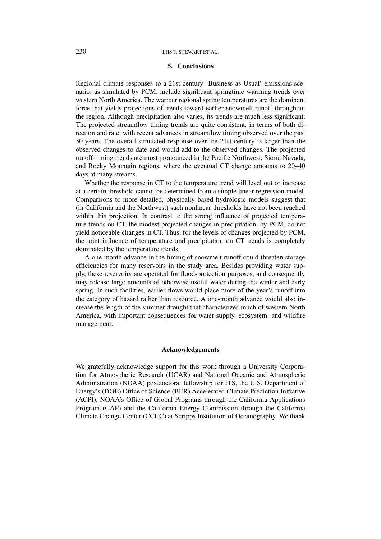### **5. Conclusions**

Regional climate responses to a 21st century 'Business as Usual' emissions scenario, as simulated by PCM, include significant springtime warming trends over western North America. The warmer regional spring temperatures are the dominant force that yields projections of trends toward earlier snowmelt runoff throughout the region. Although precipitation also varies, its trends are much less significant. The projected streamflow timing trends are quite consistent, in terms of both direction and rate, with recent advances in streamflow timing observed over the past 50 years. The overall simulated response over the 21st century is larger than the observed changes to date and would add to the observed changes. The projected runoff-timing trends are most pronounced in the Pacific Northwest, Sierra Nevada, and Rocky Mountain regions, where the eventual CT change amounts to 20–40 days at many streams.

Whether the response in CT to the temperature trend will level out or increase at a certain threshold cannot be determined from a simple linear regression model. Comparisons to more detailed, physically based hydrologic models suggest that (in California and the Northwest) such nonlinear thresholds have not been reached within this projection. In contrast to the strong influence of projected temperature trends on CT, the modest projected changes in precipitation, by PCM, do not yield noticeable changes in CT. Thus, for the levels of changes projected by PCM, the joint influence of temperature and precipitation on CT trends is completely dominated by the temperature trends.

A one-month advance in the timing of snowmelt runoff could threaten storage efficiencies for many reservoirs in the study area. Besides providing water supply, these reservoirs are operated for flood-protection purposes, and consequently may release large amounts of otherwise useful water during the winter and early spring. In such facilities, earlier flows would place more of the year's runoff into the category of hazard rather than resource. A one-month advance would also increase the length of the summer drought that characterizes much of western North America, with important consequences for water supply, ecosystem, and wildfire management.

#### **Acknowledgements**

We gratefully acknowledge support for this work through a University Corporation for Atmospheric Research (UCAR) and National Oceanic and Atmospheric Administration (NOAA) postdoctoral fellowship for ITS, the U.S. Department of Energy's (DOE) Office of Science (BER) Accelerated Climate Prediction Initiative (ACPI), NOAA's Office of Global Programs through the California Applications Program (CAP) and the California Energy Commission through the California Climate Change Center (CCCC) at Scripps Institution of Oceanography. We thank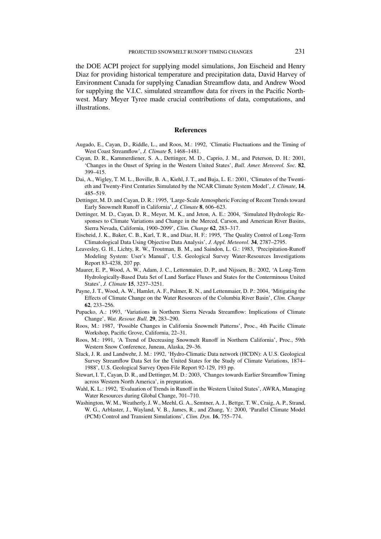the DOE ACPI project for supplying model simulations, Jon Eischeid and Henry Diaz for providing historical temperature and precipitation data, David Harvey of Environment Canada for supplying Canadian Streamflow data, and Andrew Wood for supplying the V.I.C. simulated streamflow data for rivers in the Pacific Northwest. Mary Meyer Tyree made crucial contributions of data, computations, and illustrations.

#### **References**

- Augado, E., Cayan, D., Riddle, L., and Roos, M.: 1992, 'Climatic Fluctuations and the Timing of West Coast Streamflow', *J. Climate* **5**, 1468–1481.
- Cayan, D. R., Kammerdiener, S. A., Dettinger, M. D., Caprio, J. M., and Peterson, D. H.: 2001, 'Changes in the Onset of Spring in the Western United States', *Bull. Amer. Meteorol. Soc.* **82**, 399–415.
- Dai, A., Wigley, T. M. L., Boville, B. A., Kiehl, J. T., and Buja, L. E.: 2001, 'Climates of the Twentieth and Twenty-First Centuries Simulated by the NCAR Climate System Model', *J. Climate*, **14**, 485–519.
- Dettinger, M. D. and Cayan, D. R.: 1995, 'Large-Scale Atmospheric Forcing of Recent Trends toward Early Snowmelt Runoff in California', *J. Climate* **8**, 606–623.
- Dettinger, M. D., Cayan, D. R., Meyer, M. K., and Jeton, A. E.: 2004, 'Simulated Hydrologic Responses to Climate Variations and Change in the Merced, Carson, and American River Basins, Sierra Nevada, California, 1900–2099', *Clim. Change* **62**, 283–317.
- Eischeid, J. K., Baker, C. B., Karl, T. R., and Diaz, H. F.: 1995, 'The Quality Control of Long-Term Climatological Data Using Objective Data Analysis', *J. Appl. Meteorol.* **34**, 2787–2795.
- Leavesley, G. H., Lichty, R. W., Troutman, B. M., and Saindon, L. G.: 1983, 'Precipitation-Runoff Modeling System: User's Manual', U.S. Geological Survey Water-Resources Investigations Report 83-4238, 207 pp.
- Maurer, E. P., Wood, A. W., Adam, J. C., Lettenmaier, D. P., and Nijssen, B.: 2002, 'A Long-Term Hydrologically-Based Data Set of Land Surface Fluxes and States for the Conterminous United States', *J. Climate* **15**, 3237–3251.
- Payne, J. T., Wood, A. W., Hamlet, A. F., Palmer, R. N., and Lettenmaier, D. P.: 2004, 'Mitigating the Effects of Climate Change on the Water Resources of the Columbia River Basin', *Clim. Change* **62**, 233–256.
- Pupacko, A.: 1993, 'Variations in Northern Sierra Nevada Streamflow: Implications of Climate Change', *Wat. Resour. Bull.* **29**, 283–290.
- Roos, M.: 1987, 'Possible Changes in California Snowmelt Patterns', Proc., 4th Pacific Climate Workshop, Pacific Grove, California, 22–31.
- Roos, M.: 1991, 'A Trend of Decreasing Snowmelt Runoff in Northern California', Proc., 59th Western Snow Conference, Juneau, Alaska, 29–36.
- Slack, J. R. and Landwehr, J. M.: 1992, 'Hydro-Climatic Data network (HCDN): A U.S. Geological Survey Streamflow Data Set for the United States for the Study of Climate Variations, 1874– 1988', U.S. Geological Survey Open-File Report 92-129, 193 pp.
- Stewart, I. T., Cayan, D. R., and Dettinger, M. D.: 2003, 'Changes towards Earlier Streamflow Timing across Western North America', in preparation.
- Wahl, K. L.: 1992, 'Evaluation of Trends in Runoff in the Western United States', AWRA, Managing Water Resources during Global Change, 701–710.
- Washington, W. M., Weatherly, J. W., Meehl, G. A., Semtner, A. J., Bettge, T. W., Craig, A. P., Strand, W. G., Arblaster, J., Wayland, V. B., James, R., and Zhang, Y.: 2000, 'Parallel Climate Model (PCM) Control and Transient Simulations', *Clim. Dyn.* **16**, 755–774.